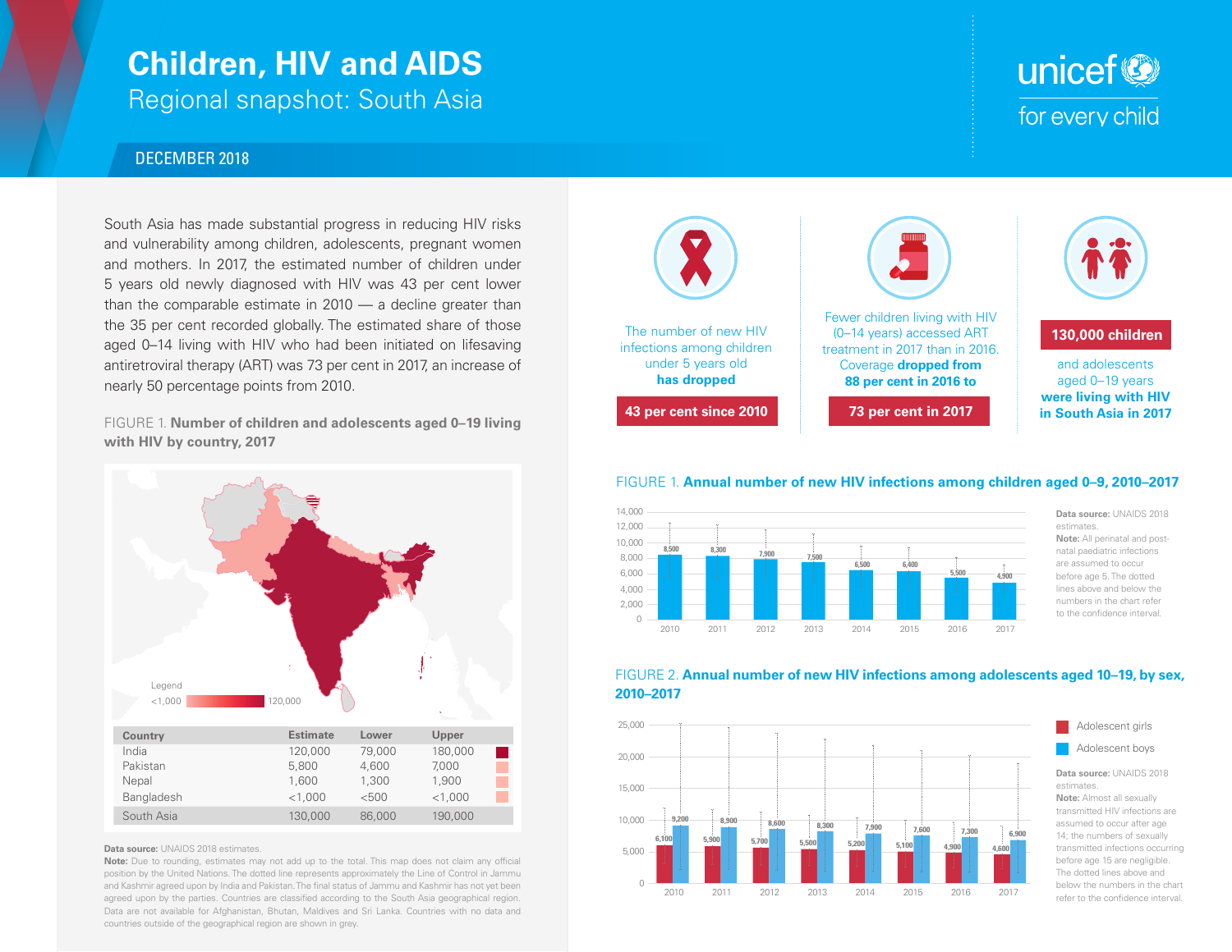# **Children, HIV and AIDS**

Regional snapshot: South Asia

### DECEMBER 2018

South Asia has made substantial progress in reducing HIV risks and vulnerability among children, adolescents, pregnant women and mothers. In 2017, the estimated number of children under 5 years old newly diagnosed with HIV was 43 per cent lower than the comparable estimate in  $2010 - a$  decline greater than the 35 per cent recorded globally. The estimated share of those aged 0–14 living with HIV who had been initiated on lifesaving antiretroviral therapy (ART) was 73 per cent in 2017, an increase of nearly 50 percentage points from 2010.

FIGURE 1. **Number of children and adolescents aged 0–19 living with HIV by country, 2017**



### **Data source:** UNAIDS 2018 estimates.

**Note:** Due to rounding, estimates may not add up to the total. This map does not claim any official position by the United Nations. The dotted line represents approximately the Line of Control in Jammu and Kashmir agreed upon by India and Pakistan. The final status of Jammu and Kashmir has not yet been agreed upon by the parties. Countries are classified according to the South Asia geographical region. Data are not available for Afghanistan, Bhutan, Maldives and Sri Lanka. Countries with no data and countries outside of the geographical region are shown in grey.



### FIGURE 1. **Annual number of new HIV infections among children aged 0–9, 2010–2017**



**Data source:** UNAIDS 2018 estimates. **Note:** All perinatal and postnatal paediatric infections are assumed to occur before age 5. The dotted lines above and below the numbers in the chart refer to the confidence interval.

### FIGURE 2. **Annual number of new HIV infections among adolescents aged 10–19, by sex, 2010–2017**



**Note:** Almost all sexually transmitted HIV infections are assumed to occur after age 14; the numbers of sexually transmitted infections occurring before age 15 are negligible. The dotted lines above and below the numbers in the chart refer to the confidence interval.

Adolescent girls Adolescent boys

## unicef<sup>®</sup> for every child